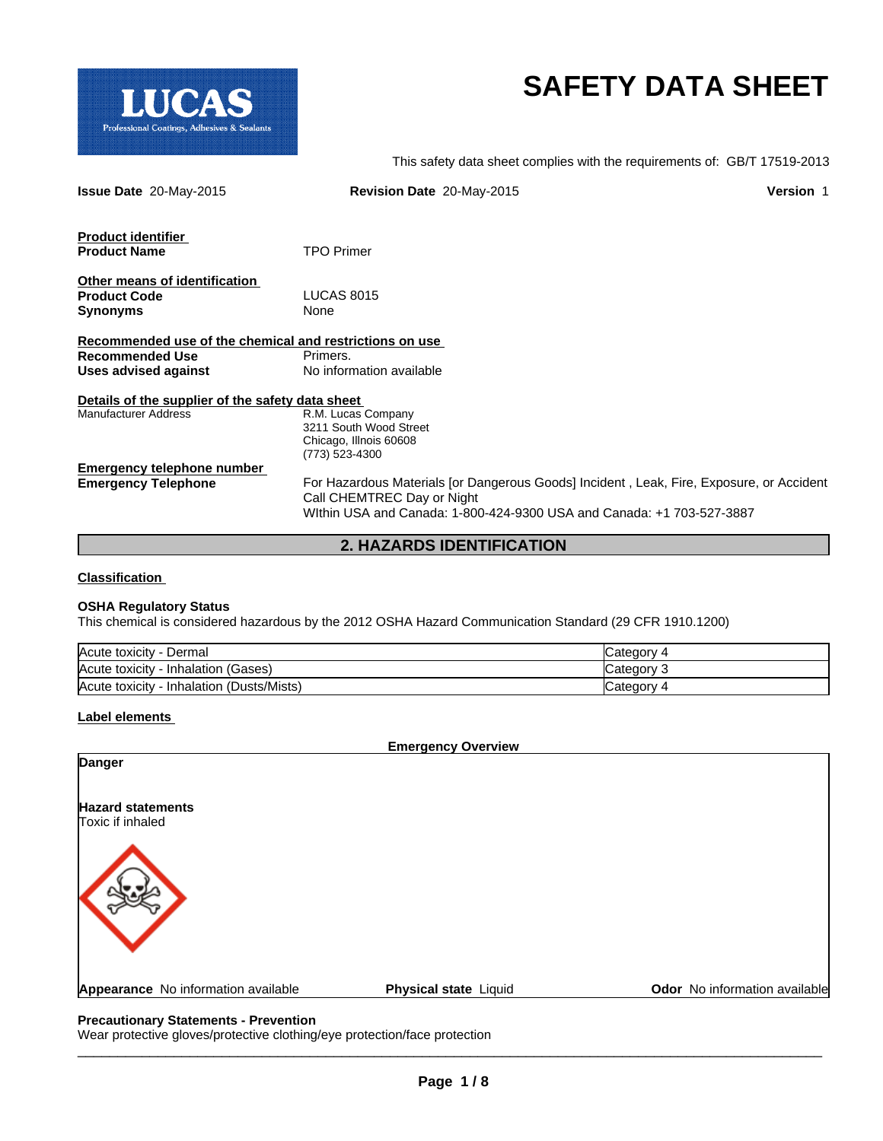

# **SAFETY DATA SHEET**

This safety data sheet complies with the requirements of: GB/T 17519-2013

| <b>Issue Date 20-May-2015</b>                           | Revision Date 20-May-2015                                                                                              | <b>Version 1</b> |
|---------------------------------------------------------|------------------------------------------------------------------------------------------------------------------------|------------------|
| <b>Product identifier</b>                               |                                                                                                                        |                  |
| <b>Product Name</b>                                     | <b>TPO Primer</b>                                                                                                      |                  |
| Other means of identification                           |                                                                                                                        |                  |
| <b>Product Code</b>                                     | <b>LUCAS 8015</b>                                                                                                      |                  |
| <b>Synonyms</b>                                         | None                                                                                                                   |                  |
| Recommended use of the chemical and restrictions on use |                                                                                                                        |                  |
| <b>Recommended Use</b>                                  | Primers.                                                                                                               |                  |
| Uses advised against                                    | No information available                                                                                               |                  |
| Details of the supplier of the safety data sheet        |                                                                                                                        |                  |
| <b>Manufacturer Address</b>                             | R.M. Lucas Company                                                                                                     |                  |
|                                                         | 3211 South Wood Street                                                                                                 |                  |
|                                                         | Chicago, Illnois 60608<br>(773) 523-4300                                                                               |                  |
| Emergency telephone number                              |                                                                                                                        |                  |
| <b>Emergency Telephone</b>                              | For Hazardous Materials [or Dangerous Goods] Incident, Leak, Fire, Exposure, or Accident<br>Call CHEMTREC Day or Night |                  |
|                                                         | Within USA and Canada: 1-800-424-9300 USA and Canada: +1 703-527-3887                                                  |                  |

**2. HAZARDS IDENTIFICATION**

## **Classification**

#### **OSHA Regulatory Status**

This chemical is considered hazardous by the 2012 OSHA Hazard Communication Standard (29 CFR 1910.1200)

| Acute toxicity<br>Dermal                          | Category   |
|---------------------------------------------------|------------|
| Acute toxicity<br>- Inhalation (Gases)            | lCategorv  |
| (Dusts/Mists)<br>Acute toxicity<br>. - Inhalation | Category 4 |

#### **Label elements**

**Emergency Overview**

**Hazard statements** Toxic if inhaled **Danger** Appearance No information available **Physical state** Liquid **Concernsive Concernsive Concernsive Concernsive Concernsive Concernsive Concernsive Concernsive Concernsive Concernsive Concernsive Concernsive Concernsive Conce** 

#### **Precautionary Statements - Prevention**

Wear protective gloves/protective clothing/eye protection/face protection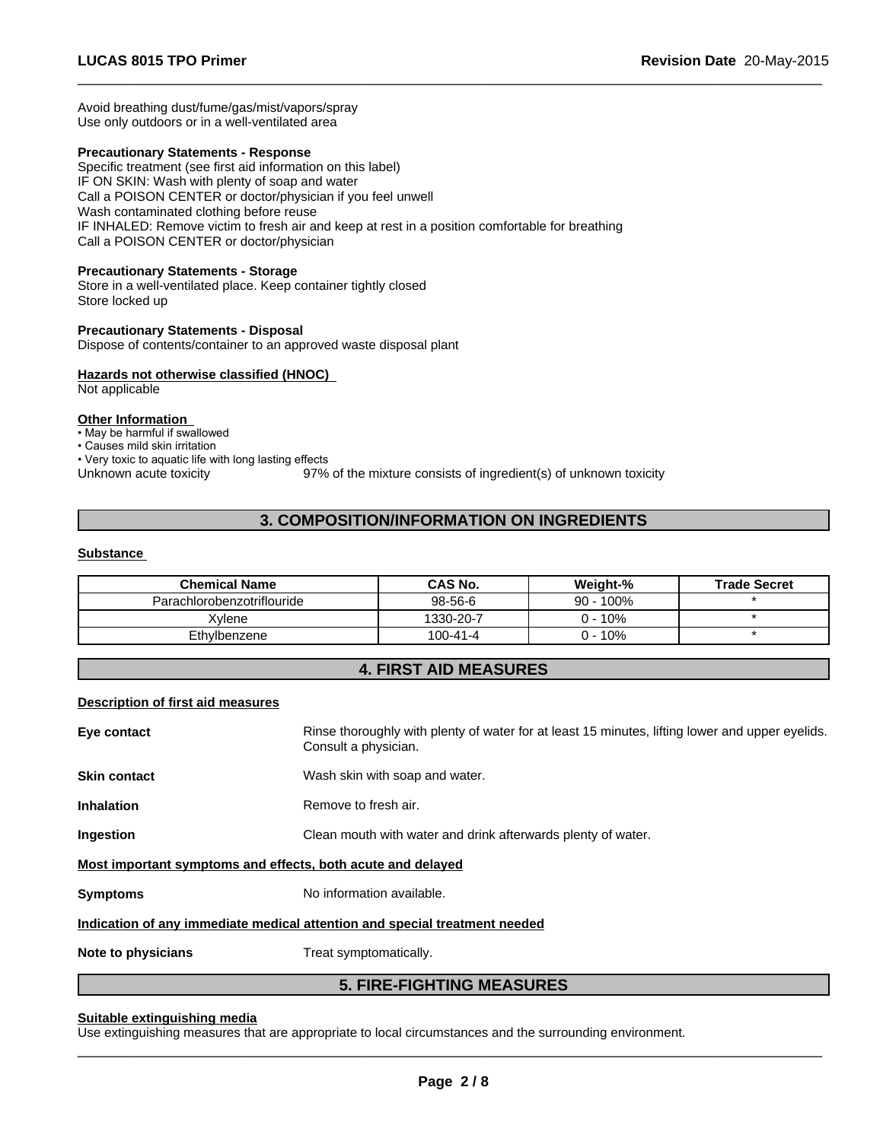Avoid breathing dust/fume/gas/mist/vapors/spray Use only outdoors or in a well-ventilated area

#### **Precautionary Statements - Response**

Specific treatment (see first aid information on this label) IF ON SKIN: Wash with plenty of soap and water Call a POISON CENTER or doctor/physician if you feel unwell Wash contaminated clothing before reuse IF INHALED: Remove victim to fresh air and keep at rest in a position comfortable for breathing Call a POISON CENTER or doctor/physician

#### **Precautionary Statements - Storage**

Store in a well-ventilated place. Keep container tightly closed Store locked up

# **Precautionary Statements - Disposal**

Dispose of contents/container to an approved waste disposal plant

## **Hazards not otherwise classified (HNOC)**

Not applicable

# **Other Information**

• May be harmful if swallowed

- Causes mild skin irritation
- Very toxic to aquatic life with long lasting effects

Unknown acute toxicity 97% of the mixture consists of ingredient(s) of unknown toxicity

 $\overline{\phantom{a}}$  ,  $\overline{\phantom{a}}$  ,  $\overline{\phantom{a}}$  ,  $\overline{\phantom{a}}$  ,  $\overline{\phantom{a}}$  ,  $\overline{\phantom{a}}$  ,  $\overline{\phantom{a}}$  ,  $\overline{\phantom{a}}$  ,  $\overline{\phantom{a}}$  ,  $\overline{\phantom{a}}$  ,  $\overline{\phantom{a}}$  ,  $\overline{\phantom{a}}$  ,  $\overline{\phantom{a}}$  ,  $\overline{\phantom{a}}$  ,  $\overline{\phantom{a}}$  ,  $\overline{\phantom{a}}$ 

# **3. COMPOSITION/INFORMATION ON INGREDIENTS**

#### **Substance**

| <b>Chemical Name</b>       | <b>CAS No.</b> | Weight-%     | <b>Trade Secret</b> |
|----------------------------|----------------|--------------|---------------------|
| Parachlorobenzotriflouride | $98-56-6$      | $90 - 100\%$ |                     |
| ⊀vlene                     | 1330-20-7      | $-10%$       |                     |
| Ethvlbenzene               | 100-41-4       | 10%          |                     |

# **4. FIRST AID MEASURES**

## **Description of first aid measures**

|                     | <b>5. FIRE-FIGHTING MEASURES</b>                                                                                        |
|---------------------|-------------------------------------------------------------------------------------------------------------------------|
| Note to physicians  | Treat symptomatically.                                                                                                  |
|                     | Indication of any immediate medical attention and special treatment needed                                              |
| <b>Symptoms</b>     | No information available.                                                                                               |
|                     | Most important symptoms and effects, both acute and delayed                                                             |
| Ingestion           | Clean mouth with water and drink afterwards plenty of water.                                                            |
| <b>Inhalation</b>   | Remove to fresh air.                                                                                                    |
| <b>Skin contact</b> | Wash skin with soap and water.                                                                                          |
| Eye contact         | Rinse thoroughly with plenty of water for at least 15 minutes, lifting lower and upper eyelids.<br>Consult a physician. |
|                     |                                                                                                                         |

#### **Suitable extinguishing media**

Use extinguishing measures that are appropriate to local circumstances and the surrounding environment.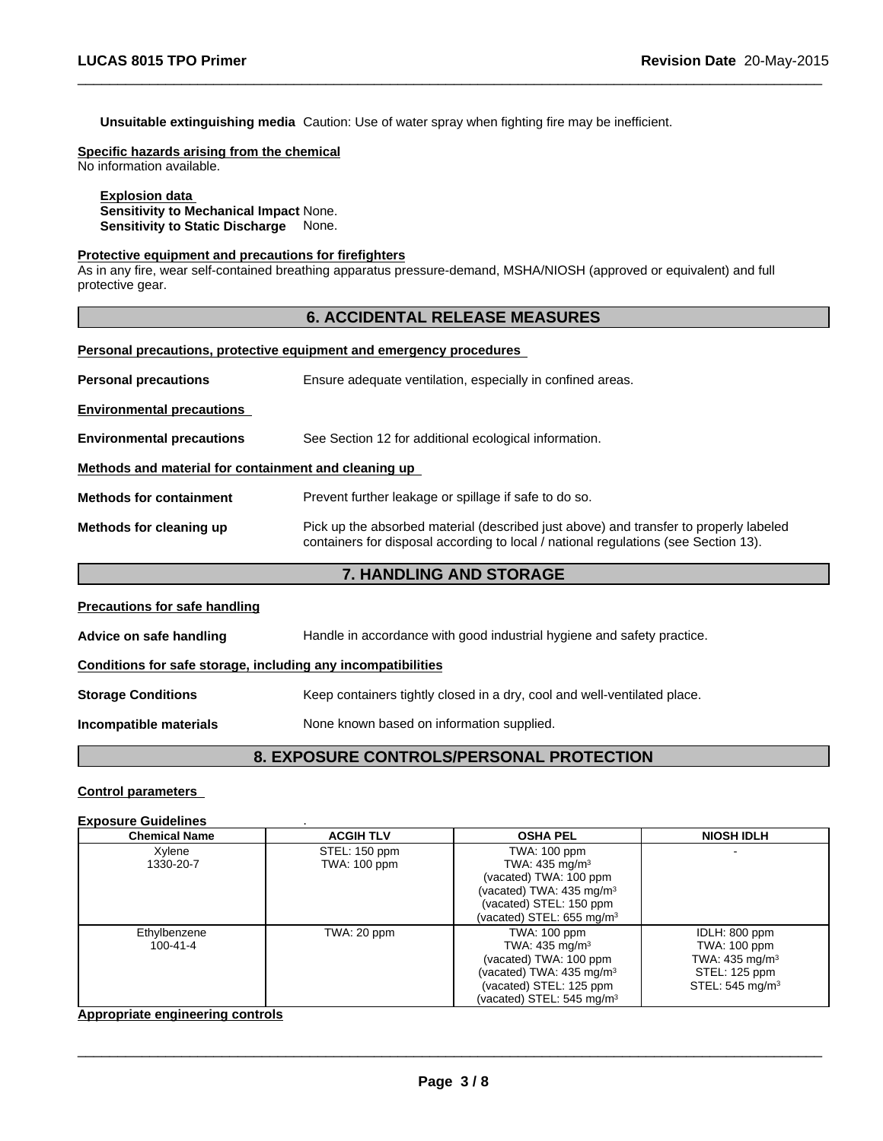**Unsuitable extinguishing media** Caution: Use of water spray when fighting fire may be inefficient.

**Specific hazards arising from the chemical**

No information available.

#### **Explosion data Sensitivity to Mechanical Impact** None. **Sensitivity to Static Discharge** None.

#### **Protective equipment and precautions for firefighters**

As in any fire, wear self-contained breathing apparatus pressure-demand, MSHA/NIOSH (approved or equivalent) and full protective gear.

# **6. ACCIDENTAL RELEASE MEASURES**

 $\overline{\phantom{a}}$  ,  $\overline{\phantom{a}}$  ,  $\overline{\phantom{a}}$  ,  $\overline{\phantom{a}}$  ,  $\overline{\phantom{a}}$  ,  $\overline{\phantom{a}}$  ,  $\overline{\phantom{a}}$  ,  $\overline{\phantom{a}}$  ,  $\overline{\phantom{a}}$  ,  $\overline{\phantom{a}}$  ,  $\overline{\phantom{a}}$  ,  $\overline{\phantom{a}}$  ,  $\overline{\phantom{a}}$  ,  $\overline{\phantom{a}}$  ,  $\overline{\phantom{a}}$  ,  $\overline{\phantom{a}}$ 

|  | Personal precautions, protective equipment and emergency procedures |  |  |  |  |  |
|--|---------------------------------------------------------------------|--|--|--|--|--|
|--|---------------------------------------------------------------------|--|--|--|--|--|

|                                                      | <b>7. HANDLING AND STORAGE</b>                                                                                                                                               |  |  |
|------------------------------------------------------|------------------------------------------------------------------------------------------------------------------------------------------------------------------------------|--|--|
| Methods for cleaning up                              | Pick up the absorbed material (described just above) and transfer to properly labeled<br>containers for disposal according to local / national regulations (see Section 13). |  |  |
| <b>Methods for containment</b>                       | Prevent further leakage or spillage if safe to do so.                                                                                                                        |  |  |
| Methods and material for containment and cleaning up |                                                                                                                                                                              |  |  |
| <b>Environmental precautions</b>                     | See Section 12 for additional ecological information.                                                                                                                        |  |  |
| <b>Environmental precautions</b>                     |                                                                                                                                                                              |  |  |
| <b>Personal precautions</b>                          | Ensure adequate ventilation, especially in confined areas.                                                                                                                   |  |  |

| <b>Precautions for safe handling</b>                         |                                                                          |
|--------------------------------------------------------------|--------------------------------------------------------------------------|
| Advice on safe handling                                      | Handle in accordance with good industrial hygiene and safety practice.   |
| Conditions for safe storage, including any incompatibilities |                                                                          |
| <b>Storage Conditions</b>                                    | Keep containers tightly closed in a dry, cool and well-ventilated place. |
| Incompatible materials                                       | None known based on information supplied.                                |

# **8. EXPOSURE CONTROLS/PERSONAL PROTECTION**

# **Control parameters**

# **Exposure Guidelines** .

| <b>Chemical Name</b> | <b>ACGIH TLV</b> | <b>OSHA PEL</b>                      | <b>NIOSH IDLH</b>           |
|----------------------|------------------|--------------------------------------|-----------------------------|
| Xylene               | STEL: 150 ppm    | TWA: 100 ppm                         |                             |
| 1330-20-7            | TWA: 100 ppm     | TWA: $435 \text{ mg/m}^3$            |                             |
|                      |                  | (vacated) TWA: 100 ppm               |                             |
|                      |                  | vacated) TWA: 435 mg/m <sup>3</sup>  |                             |
|                      |                  | (vacated) STEL: 150 ppm              |                             |
|                      |                  | (vacated) STEL: $655 \text{ mg/m}^3$ |                             |
| Ethylbenzene         | TWA: 20 ppm      | TWA: 100 ppm                         | IDLH: 800 ppm               |
| 100-41-4             |                  | TWA: 435 mg/m <sup>3</sup>           | TWA: 100 ppm                |
|                      |                  | (vacated) TWA: 100 ppm               | TWA: 435 mg/m <sup>3</sup>  |
|                      |                  | (vacated) TWA: 435 mg/m <sup>3</sup> | STEL: 125 ppm               |
|                      |                  | (vacated) STEL: 125 ppm              | STEL: 545 mg/m <sup>3</sup> |
|                      |                  | (vacated) STEL: $545 \text{ mg/m}^3$ |                             |

# **Appropriate engineering controls**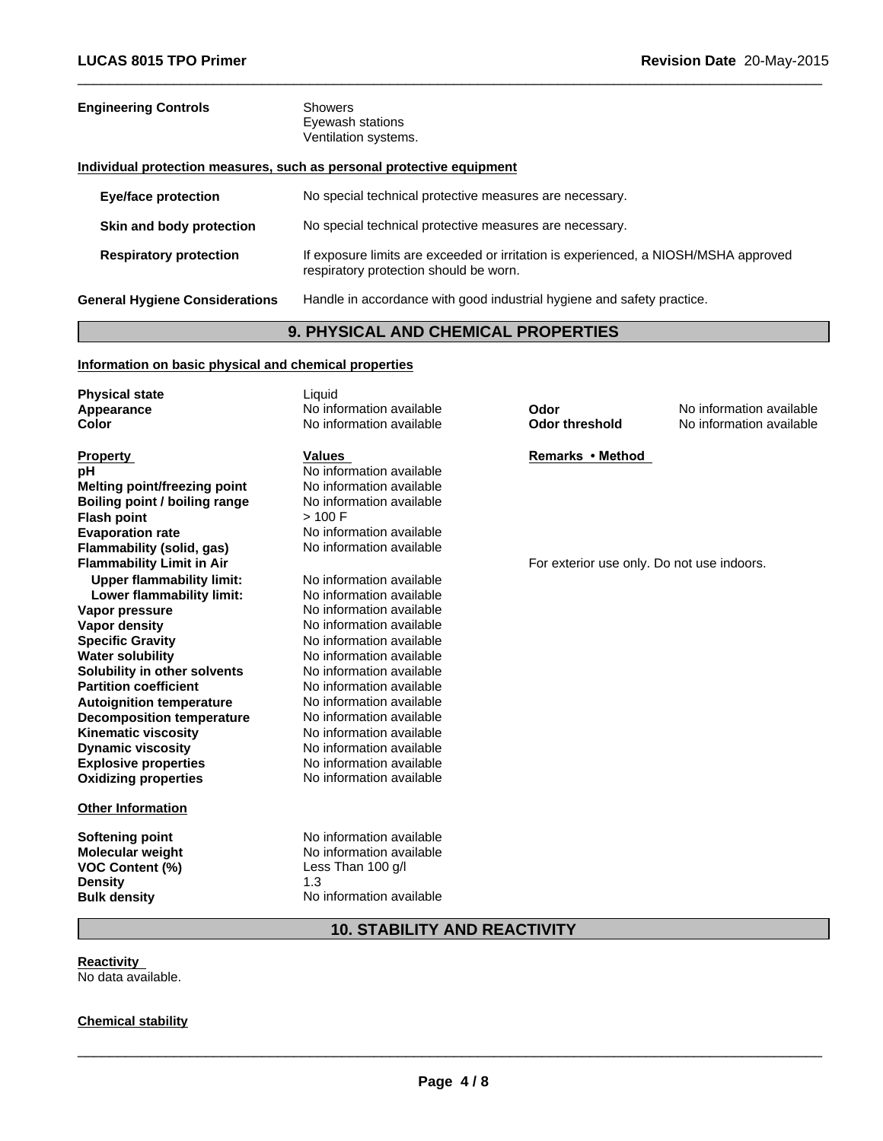| <b>Engineering Controls</b>                           | <b>Showers</b><br>Eyewash stations                                                                                            |
|-------------------------------------------------------|-------------------------------------------------------------------------------------------------------------------------------|
|                                                       | Ventilation systems.                                                                                                          |
|                                                       | Individual protection measures, such as personal protective equipment                                                         |
| <b>Eye/face protection</b>                            | No special technical protective measures are necessary.                                                                       |
| Skin and body protection                              | No special technical protective measures are necessary.                                                                       |
| <b>Respiratory protection</b>                         | If exposure limits are exceeded or irritation is experienced, a NIOSH/MSHA approved<br>respiratory protection should be worn. |
| <b>General Hygiene Considerations</b>                 | Handle in accordance with good industrial hygiene and safety practice.                                                        |
|                                                       | <b>9. PHYSICAL AND CHEMICAL PROPERTIES</b>                                                                                    |
| Information on basic physical and chemical properties |                                                                                                                               |
| <b>Physical state</b>                                 | Liguid.                                                                                                                       |

 $\overline{\phantom{a}}$  ,  $\overline{\phantom{a}}$  ,  $\overline{\phantom{a}}$  ,  $\overline{\phantom{a}}$  ,  $\overline{\phantom{a}}$  ,  $\overline{\phantom{a}}$  ,  $\overline{\phantom{a}}$  ,  $\overline{\phantom{a}}$  ,  $\overline{\phantom{a}}$  ,  $\overline{\phantom{a}}$  ,  $\overline{\phantom{a}}$  ,  $\overline{\phantom{a}}$  ,  $\overline{\phantom{a}}$  ,  $\overline{\phantom{a}}$  ,  $\overline{\phantom{a}}$  ,  $\overline{\phantom{a}}$ 

| r rrysiuar state                    |                          |                                            |                          |
|-------------------------------------|--------------------------|--------------------------------------------|--------------------------|
| Appearance                          | No information available | Odor                                       | No information available |
| Color                               | No information available | <b>Odor threshold</b>                      | No information available |
|                                     |                          |                                            |                          |
| <b>Property</b>                     | <b>Values</b>            | Remarks • Method                           |                          |
| рH                                  | No information available |                                            |                          |
| <b>Melting point/freezing point</b> | No information available |                                            |                          |
| Boiling point / boiling range       | No information available |                                            |                          |
| <b>Flash point</b>                  | > 100 F                  |                                            |                          |
| <b>Evaporation rate</b>             | No information available |                                            |                          |
| Flammability (solid, gas)           | No information available |                                            |                          |
| <b>Flammability Limit in Air</b>    |                          | For exterior use only. Do not use indoors. |                          |
| <b>Upper flammability limit:</b>    | No information available |                                            |                          |
| Lower flammability limit:           | No information available |                                            |                          |
| Vapor pressure                      | No information available |                                            |                          |
| <b>Vapor density</b>                | No information available |                                            |                          |
| <b>Specific Gravity</b>             | No information available |                                            |                          |
| <b>Water solubility</b>             | No information available |                                            |                          |
| Solubility in other solvents        | No information available |                                            |                          |
| <b>Partition coefficient</b>        | No information available |                                            |                          |
| <b>Autoignition temperature</b>     | No information available |                                            |                          |
| <b>Decomposition temperature</b>    | No information available |                                            |                          |
| <b>Kinematic viscosity</b>          | No information available |                                            |                          |
| <b>Dynamic viscosity</b>            | No information available |                                            |                          |
| <b>Explosive properties</b>         | No information available |                                            |                          |
| <b>Oxidizing properties</b>         | No information available |                                            |                          |
|                                     |                          |                                            |                          |
| <b>Other Information</b>            |                          |                                            |                          |
| <b>Softening point</b>              | No information available |                                            |                          |
| <b>Molecular weight</b>             | No information available |                                            |                          |
| <b>VOC Content (%)</b>              | Less Than 100 g/l        |                                            |                          |
| <b>Density</b>                      | 1.3                      |                                            |                          |
| <b>Bulk density</b>                 | No information available |                                            |                          |
|                                     |                          |                                            |                          |

# **10. STABILITY AND REACTIVITY**

**Reactivity**  No data available.

**Chemical stability**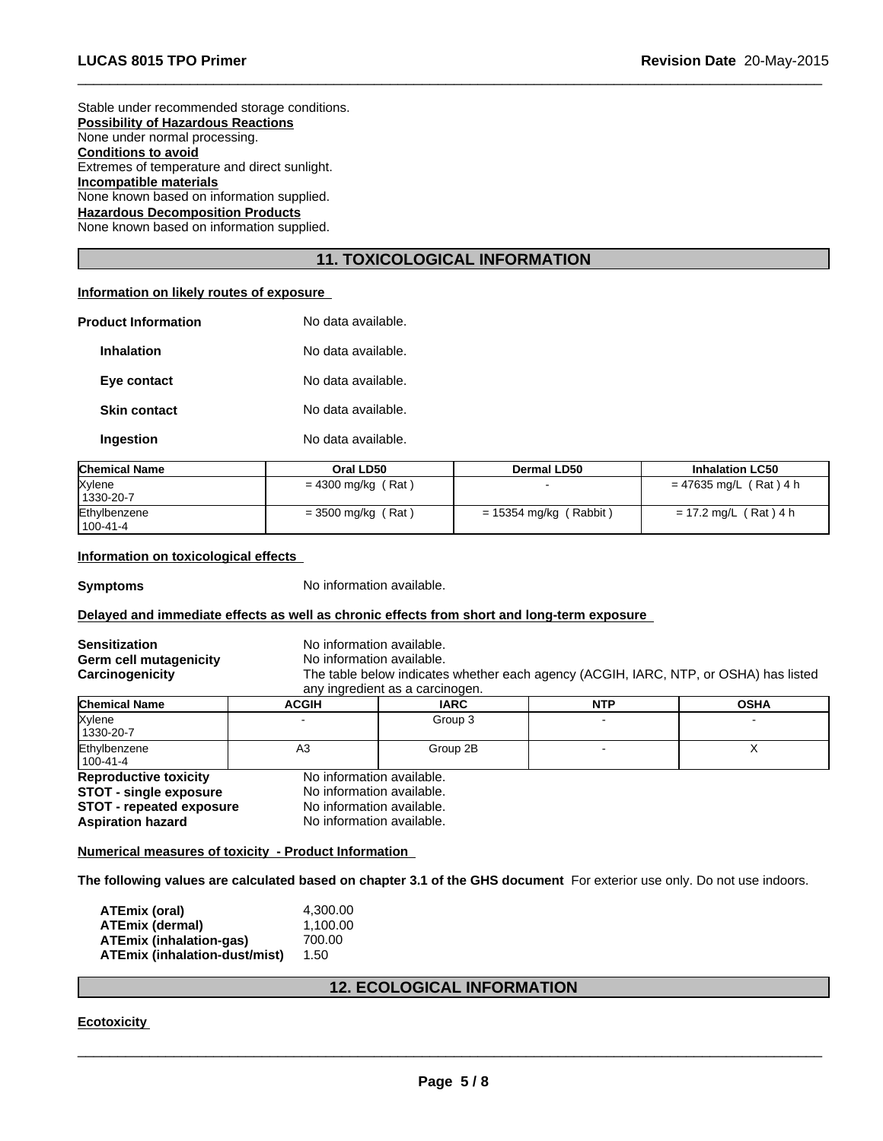Stable under recommended storage conditions. **Possibility of Hazardous Reactions** None under normal processing. **Conditions to avoid** Extremes of temperature and direct sunlight. **Incompatible materials** None known based on information supplied. **Hazardous Decomposition Products** None known based on information supplied.

# **11. TOXICOLOGICAL INFORMATION**

 $\overline{\phantom{a}}$  ,  $\overline{\phantom{a}}$  ,  $\overline{\phantom{a}}$  ,  $\overline{\phantom{a}}$  ,  $\overline{\phantom{a}}$  ,  $\overline{\phantom{a}}$  ,  $\overline{\phantom{a}}$  ,  $\overline{\phantom{a}}$  ,  $\overline{\phantom{a}}$  ,  $\overline{\phantom{a}}$  ,  $\overline{\phantom{a}}$  ,  $\overline{\phantom{a}}$  ,  $\overline{\phantom{a}}$  ,  $\overline{\phantom{a}}$  ,  $\overline{\phantom{a}}$  ,  $\overline{\phantom{a}}$ 

# **Information on likely routes of exposure**

| <b>Product Information</b> | No data available. |
|----------------------------|--------------------|
| Inhalation                 | No data available. |
| Eye contact                | No data available. |
| <b>Skin contact</b>        | No data available. |
| Ingestion                  | No data available. |

| <b>Chemical Name</b> | Oral LD50            | Dermal LD50              | <b>Inhalation LC50</b>   |
|----------------------|----------------------|--------------------------|--------------------------|
| Xylene               | $= 4300$ mg/kg (Rat) |                          | $= 47635$ mg/L (Rat) 4 h |
| 1330-20-7            |                      |                          |                          |
| Ethylbenzene         | $=$ 3500 mg/kg (Rat) | $= 15354$ mg/kg (Rabbit) | $= 17.2$ mg/L (Rat) 4 h  |
| $1100 - 41 - 4$      |                      |                          |                          |

# **Information on toxicological effects**

**Symptoms** No information available.

## **Delayed and immediate effects as well as chronic effects from short and long-term exposure**

| Sensitization<br>Germ cell mutagenicity<br>Carcinogenicity | No information available.<br>No information available. | The table below indicates whether each agency (ACGIH, IARC, NTP, or OSHA) has listed<br>any ingredient as a carcinogen. |            |             |  |
|------------------------------------------------------------|--------------------------------------------------------|-------------------------------------------------------------------------------------------------------------------------|------------|-------------|--|
| <b>Chemical Name</b>                                       | <b>ACGIH</b>                                           | <b>IARC</b>                                                                                                             | <b>NTP</b> | <b>OSHA</b> |  |
| Xylene<br>1330-20-7                                        |                                                        | Group 3                                                                                                                 |            |             |  |
| Ethylbenzene<br>100-41-4                                   | A <sub>3</sub>                                         | Group 2B                                                                                                                |            |             |  |
| <b>Reproductive toxicity</b>                               | No information available.                              |                                                                                                                         |            |             |  |
| <b>STOT - single exposure</b>                              |                                                        | No information available.                                                                                               |            |             |  |
| <b>STOT - repeated exposure</b>                            |                                                        | No information available.                                                                                               |            |             |  |
| Aspiration hazard                                          |                                                        | No information available.                                                                                               |            |             |  |

**Numerical measures of toxicity - Product Information** 

**The following values are calculated based on chapter 3.1 of the GHS document** For exterior use only. Do not use indoors.

| ATEmix (oral)                 | 4.300.00 |
|-------------------------------|----------|
| <b>ATEmix (dermal)</b>        | 1.100.00 |
| ATEmix (inhalation-gas)       | 700.00   |
| ATEmix (inhalation-dust/mist) | 1.50     |

# **12. ECOLOGICAL INFORMATION**

**Ecotoxicity**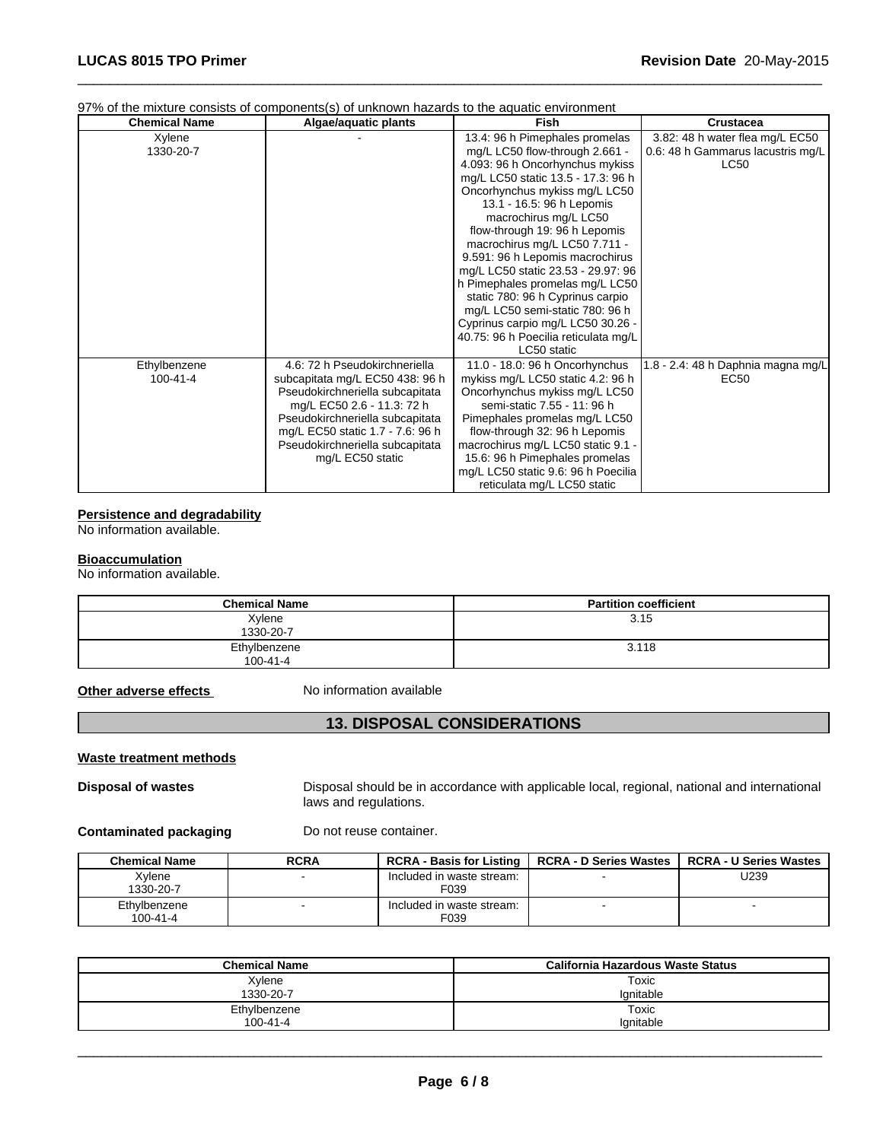# 97% of the mixture consists of components(s) of unknown hazards to the aquatic environment

| <b>Chemical Name</b> | Algae/aquatic plants             | <b>Fish</b>                          | <b>Crustacea</b>                   |
|----------------------|----------------------------------|--------------------------------------|------------------------------------|
| Xylene               |                                  | 13.4: 96 h Pimephales promelas       | 3.82: 48 h water flea mg/L EC50    |
| 1330-20-7            |                                  | mg/L LC50 flow-through 2.661 -       | 0.6: 48 h Gammarus lacustris mg/L  |
|                      |                                  | 4.093: 96 h Oncorhynchus mykiss      | <b>LC50</b>                        |
|                      |                                  | mg/L LC50 static 13.5 - 17.3: 96 h   |                                    |
|                      |                                  | Oncorhynchus mykiss mg/L LC50        |                                    |
|                      |                                  | 13.1 - 16.5: 96 h Lepomis            |                                    |
|                      |                                  | macrochirus mg/L LC50                |                                    |
|                      |                                  | flow-through 19: 96 h Lepomis        |                                    |
|                      |                                  | macrochirus mg/L LC50 7.711 -        |                                    |
|                      |                                  | 9.591: 96 h Lepomis macrochirus      |                                    |
|                      |                                  | mg/L LC50 static 23.53 - 29.97: 96   |                                    |
|                      |                                  | h Pimephales promelas mg/L LC50      |                                    |
|                      |                                  | static 780: 96 h Cyprinus carpio     |                                    |
|                      |                                  | mg/L LC50 semi-static 780: 96 h      |                                    |
|                      |                                  | Cyprinus carpio mg/L LC50 30.26 -    |                                    |
|                      |                                  | 40.75: 96 h Poecilia reticulata mg/L |                                    |
|                      |                                  | LC50 static                          |                                    |
| Ethylbenzene         | 4.6: 72 h Pseudokirchneriella    | 11.0 - 18.0: 96 h Oncorhynchus       | 1.8 - 2.4: 48 h Daphnia magna mg/L |
| 100-41-4             | subcapitata mg/L EC50 438: 96 h  | mykiss mg/L LC50 static 4.2: 96 h    | EC50                               |
|                      | Pseudokirchneriella subcapitata  | Oncorhynchus mykiss mg/L LC50        |                                    |
|                      | mg/L EC50 2.6 - 11.3: 72 h       | semi-static 7.55 - 11: 96 h          |                                    |
|                      | Pseudokirchneriella subcapitata  | Pimephales promelas mg/L LC50        |                                    |
|                      | mg/L EC50 static 1.7 - 7.6: 96 h | flow-through 32: 96 h Lepomis        |                                    |
|                      | Pseudokirchneriella subcapitata  | macrochirus mg/L LC50 static 9.1 -   |                                    |
|                      | mg/L EC50 static                 | 15.6: 96 h Pimephales promelas       |                                    |
|                      |                                  | mg/L LC50 static 9.6: 96 h Poecilia  |                                    |
|                      |                                  | reticulata mg/L LC50 static          |                                    |

 $\overline{\phantom{a}}$  ,  $\overline{\phantom{a}}$  ,  $\overline{\phantom{a}}$  ,  $\overline{\phantom{a}}$  ,  $\overline{\phantom{a}}$  ,  $\overline{\phantom{a}}$  ,  $\overline{\phantom{a}}$  ,  $\overline{\phantom{a}}$  ,  $\overline{\phantom{a}}$  ,  $\overline{\phantom{a}}$  ,  $\overline{\phantom{a}}$  ,  $\overline{\phantom{a}}$  ,  $\overline{\phantom{a}}$  ,  $\overline{\phantom{a}}$  ,  $\overline{\phantom{a}}$  ,  $\overline{\phantom{a}}$ 

#### **Persistence and degradability**

No information available.

#### **Bioaccumulation**

No information available.

| <b>Chemical Name</b>           | <b>Partition coefficient</b> |
|--------------------------------|------------------------------|
| Xylene<br>1330-20-7            | 3.15                         |
| Ethylbenzene<br>$100 - 41 - 4$ | 3.118                        |

**Other adverse effects** No information available

# **13. DISPOSAL CONSIDERATIONS**

# **Waste treatment methods**

**Disposal of wastes Disposal should be in accordance with applicable local, regional, national and international** laws and regulations.

**Contaminated packaging** Do not reuse container.

| <b>Chemical Name</b>     | <b>RCRA</b> | <b>RCRA - Basis for Listing</b>   | <b>RCRA - D Series Wastes</b> | <b>RCRA - U Series Wastes</b> |
|--------------------------|-------------|-----------------------------------|-------------------------------|-------------------------------|
| Xvlene<br>1330-20-7      |             | Included in waste stream:<br>F039 |                               | U239                          |
| Ethvlbenzene<br>100-41-4 |             | Included in waste stream:<br>F039 |                               |                               |

| <b>Chemical Name</b> | California Hazardous Waste Status |
|----------------------|-----------------------------------|
| Xylene               | Toxic                             |
| 1330-20-7            | lanitable                         |
| Ethylbenzene         | Toxic                             |
| 100-41-4             | Ignitable                         |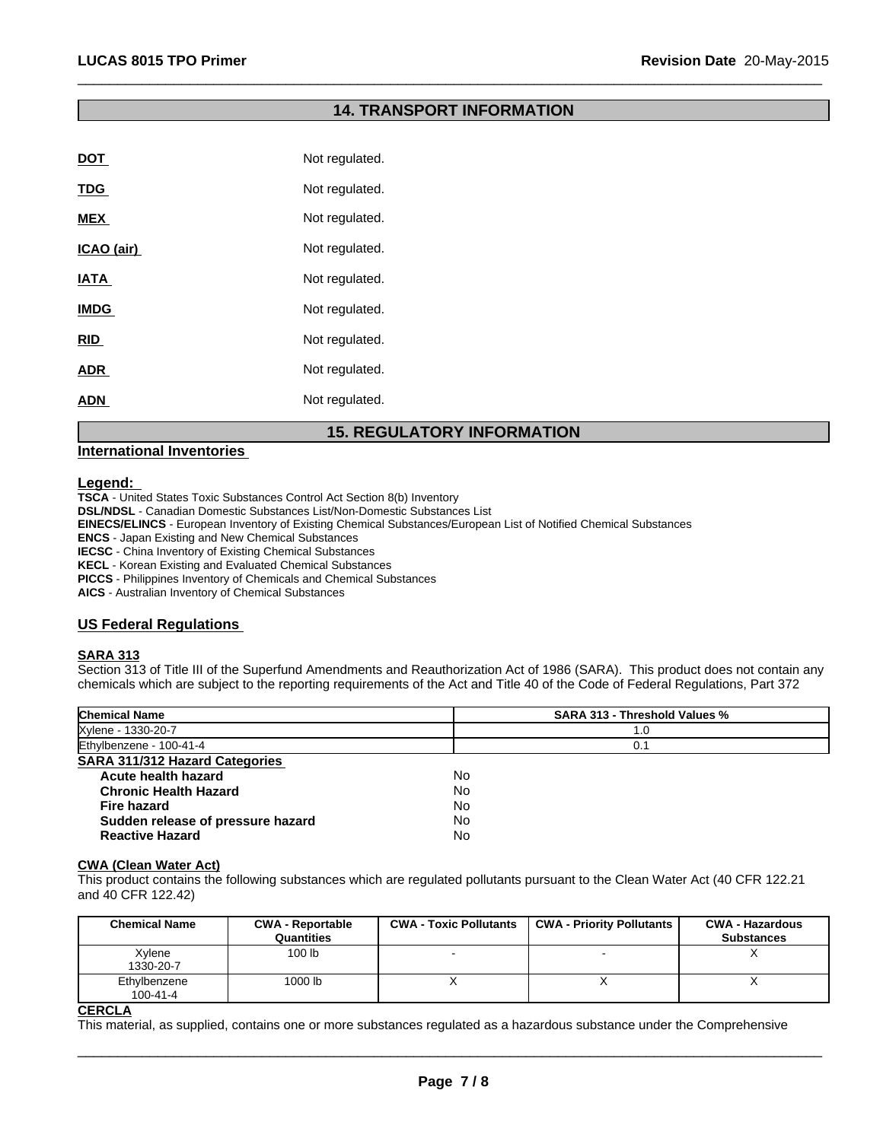# **14. TRANSPORT INFORMATION**

 $\overline{\phantom{a}}$  ,  $\overline{\phantom{a}}$  ,  $\overline{\phantom{a}}$  ,  $\overline{\phantom{a}}$  ,  $\overline{\phantom{a}}$  ,  $\overline{\phantom{a}}$  ,  $\overline{\phantom{a}}$  ,  $\overline{\phantom{a}}$  ,  $\overline{\phantom{a}}$  ,  $\overline{\phantom{a}}$  ,  $\overline{\phantom{a}}$  ,  $\overline{\phantom{a}}$  ,  $\overline{\phantom{a}}$  ,  $\overline{\phantom{a}}$  ,  $\overline{\phantom{a}}$  ,  $\overline{\phantom{a}}$ 

| <b>DOT</b>  | Not regulated. |
|-------------|----------------|
| <b>TDG</b>  | Not regulated. |
| <b>MEX</b>  | Not regulated. |
| ICAO (air)  | Not regulated. |
| <b>IATA</b> | Not regulated. |
| <b>IMDG</b> | Not regulated. |
| <b>RID</b>  | Not regulated. |
| <b>ADR</b>  | Not regulated. |
| <b>ADN</b>  | Not regulated. |
|             |                |

# **15. REGULATORY INFORMATION**

# **International Inventories**

#### **Legend:**

**TSCA** - United States Toxic Substances Control Act Section 8(b) Inventory

**DSL/NDSL** - Canadian Domestic Substances List/Non-Domestic Substances List

**EINECS/ELINCS** - European Inventory of Existing Chemical Substances/European List of Notified Chemical Substances

**ENCS** - Japan Existing and New Chemical Substances

**IECSC** - China Inventory of Existing Chemical Substances

**KECL** - Korean Existing and Evaluated Chemical Substances

**PICCS** - Philippines Inventory of Chemicals and Chemical Substances

**AICS** - Australian Inventory of Chemical Substances

# **US Federal Regulations**

# **SARA 313**

Section 313 of Title III of the Superfund Amendments and Reauthorization Act of 1986 (SARA). This product does not contain any chemicals which are subject to the reporting requirements of the Act and Title 40 of the Code of Federal Regulations, Part 372

| <b>SARA 313 - Threshold Values %</b> |
|--------------------------------------|
| 1.0                                  |
| 0.1                                  |
|                                      |
| No                                   |
| No                                   |
| No                                   |
| No                                   |
| No                                   |
|                                      |

#### **CWA (Clean Water Act)**

This product contains the following substances which are regulated pollutants pursuant to the Clean Water Act (40 CFR 122.21 and 40 CFR 122.42)

| <b>Chemical Name</b>           | <b>CWA - Reportable</b><br>Quantities | <b>CWA - Toxic Pollutants</b> | <b>CWA - Priority Pollutants</b> | <b>CWA - Hazardous</b><br><b>Substances</b> |
|--------------------------------|---------------------------------------|-------------------------------|----------------------------------|---------------------------------------------|
| Xylene<br>1330-20-7            | 100 lb                                |                               |                                  |                                             |
| Ethylbenzene<br>$100 - 41 - 4$ | 1000 lb                               |                               |                                  |                                             |

#### **CERCLA**

This material, as supplied, contains one or more substances regulated as a hazardous substance under the Comprehensive